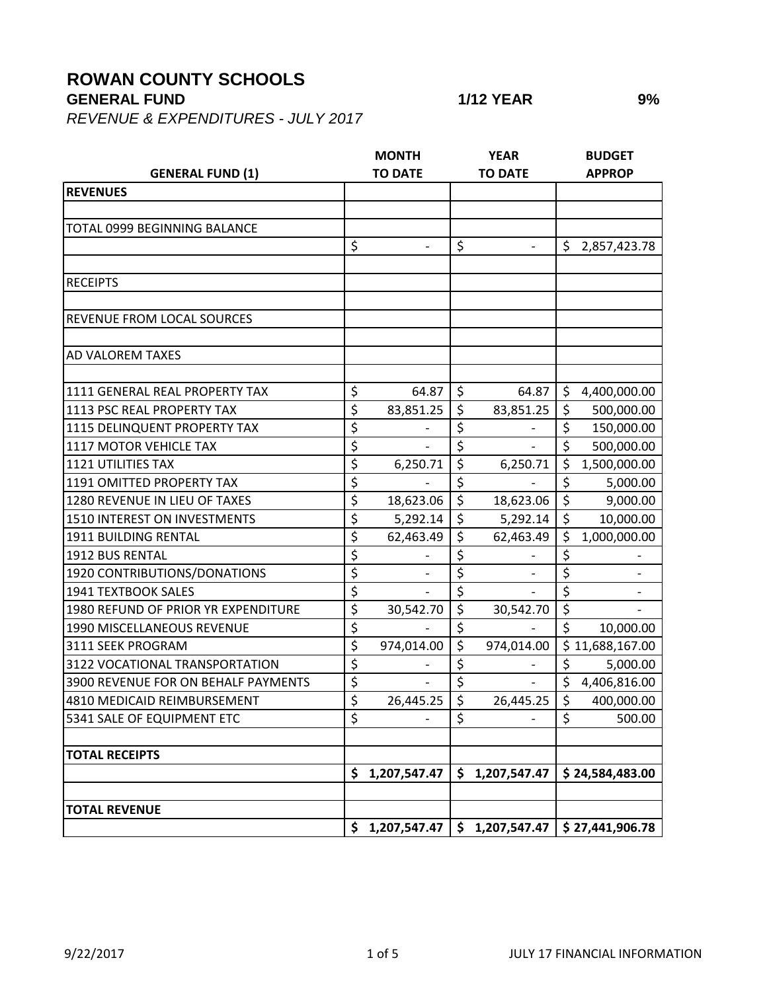## **ROWAN COUNTY SCHOOLS**

**GENERAL FUND 1/12 YEAR 9%**

*REVENUE & EXPENDITURES - JULY 2017*

|                                     | <b>MONTH</b>     |                | <b>YEAR</b>              |                | <b>BUDGET</b>    |                 |  |
|-------------------------------------|------------------|----------------|--------------------------|----------------|------------------|-----------------|--|
| <b>GENERAL FUND (1)</b>             | <b>TO DATE</b>   |                | <b>TO DATE</b>           |                | <b>APPROP</b>    |                 |  |
| <b>REVENUES</b>                     |                  |                |                          |                |                  |                 |  |
|                                     |                  |                |                          |                |                  |                 |  |
| TOTAL 0999 BEGINNING BALANCE        |                  |                |                          |                |                  |                 |  |
|                                     | \$               |                | \$                       |                | \$               | 2,857,423.78    |  |
|                                     |                  |                |                          |                |                  |                 |  |
| <b>RECEIPTS</b>                     |                  |                |                          |                |                  |                 |  |
|                                     |                  |                |                          |                |                  |                 |  |
| <b>REVENUE FROM LOCAL SOURCES</b>   |                  |                |                          |                |                  |                 |  |
|                                     |                  |                |                          |                |                  |                 |  |
| <b>AD VALOREM TAXES</b>             |                  |                |                          |                |                  |                 |  |
|                                     |                  |                |                          |                |                  |                 |  |
| 1111 GENERAL REAL PROPERTY TAX      | \$               | 64.87          | \$                       | 64.87          | \$               | 4,400,000.00    |  |
| 1113 PSC REAL PROPERTY TAX          | \$               | 83,851.25      | \$                       | 83,851.25      | $\zeta$          | 500,000.00      |  |
| 1115 DELINQUENT PROPERTY TAX        | \$               |                | \$                       |                | \$               | 150,000.00      |  |
| 1117 MOTOR VEHICLE TAX              | \$               |                | \$                       |                | $\overline{\xi}$ | 500,000.00      |  |
| <b>1121 UTILITIES TAX</b>           | \$               | 6,250.71       | \$                       | 6,250.71       | $\zeta$          | 1,500,000.00    |  |
| 1191 OMITTED PROPERTY TAX           | \$               |                | \$                       |                | \$               | 5,000.00        |  |
| 1280 REVENUE IN LIEU OF TAXES       | $\overline{\xi}$ | 18,623.06      | $\overline{\mathcal{S}}$ | 18,623.06      | $\overline{\xi}$ | 9,000.00        |  |
| 1510 INTEREST ON INVESTMENTS        | \$               | 5,292.14       | \$                       | 5,292.14       | $\zeta$          | 10,000.00       |  |
| 1911 BUILDING RENTAL                | \$               | 62,463.49      | \$                       | 62,463.49      | \$               | 1,000,000.00    |  |
| 1912 BUS RENTAL                     | \$               |                | \$                       |                | \$               |                 |  |
| 1920 CONTRIBUTIONS/DONATIONS        | \$               |                | \$                       |                | \$               |                 |  |
| <b>1941 TEXTBOOK SALES</b>          | \$               |                | \$                       |                | $\overline{\xi}$ |                 |  |
| 1980 REFUND OF PRIOR YR EXPENDITURE | \$               | 30,542.70      | \$                       | 30,542.70      | \$               |                 |  |
| 1990 MISCELLANEOUS REVENUE          | $\overline{\xi}$ |                | \$                       |                | \$               | 10,000.00       |  |
| 3111 SEEK PROGRAM                   | $\overline{\xi}$ | 974,014.00     | \$                       | 974,014.00     |                  | \$11,688,167.00 |  |
| 3122 VOCATIONAL TRANSPORTATION      | \$               |                | \$                       |                | \$               | 5,000.00        |  |
| 3900 REVENUE FOR ON BEHALF PAYMENTS | \$               |                | \$                       |                | \$               | 4,406,816.00    |  |
| 4810 MEDICAID REIMBURSEMENT         | \$               | 26,445.25      | \$                       | 26,445.25      | $\zeta$          | 400,000.00      |  |
| 5341 SALE OF EQUIPMENT ETC          | \$               |                | \$                       |                | \$               | 500.00          |  |
|                                     |                  |                |                          |                |                  |                 |  |
| <b>TOTAL RECEIPTS</b>               |                  |                |                          |                |                  |                 |  |
|                                     | \$               | 1,207,547.47   | \$                       | 1,207,547.47   |                  | \$24,584,483.00 |  |
|                                     |                  |                |                          |                |                  |                 |  |
| <b>TOTAL REVENUE</b>                |                  |                |                          |                |                  |                 |  |
|                                     |                  | \$1,207,547.47 |                          | \$1,207,547.47 |                  | \$27,441,906.78 |  |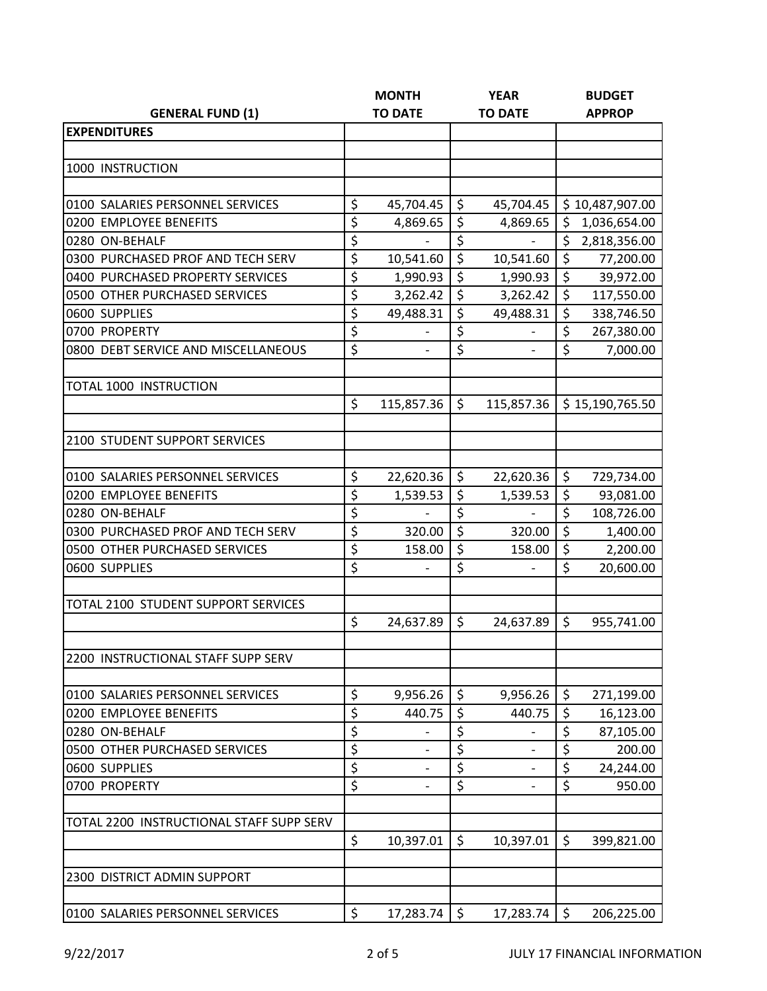|                                          | <b>MONTH</b>     |                          | <b>YEAR</b> |                   | <b>BUDGET</b> |                 |  |
|------------------------------------------|------------------|--------------------------|-------------|-------------------|---------------|-----------------|--|
| <b>GENERAL FUND (1)</b>                  |                  | <b>TO DATE</b>           |             | <b>TO DATE</b>    |               | <b>APPROP</b>   |  |
| <b>EXPENDITURES</b>                      |                  |                          |             |                   |               |                 |  |
|                                          |                  |                          |             |                   |               |                 |  |
| 1000 INSTRUCTION                         |                  |                          |             |                   |               |                 |  |
|                                          |                  |                          |             |                   |               |                 |  |
| 0100 SALARIES PERSONNEL SERVICES         | \$               | 45,704.45                | \$          | 45,704.45         |               | \$10,487,907.00 |  |
| 0200 EMPLOYEE BENEFITS                   | \$               | 4,869.65                 | \$          | 4,869.65          | \$            | 1,036,654.00    |  |
| 0280 ON-BEHALF                           | \$               |                          | \$          |                   | \$            | 2,818,356.00    |  |
| 0300 PURCHASED PROF AND TECH SERV        | \$               | 10,541.60                | \$          | 10,541.60         | \$            | 77,200.00       |  |
| 0400 PURCHASED PROPERTY SERVICES         | \$               | 1,990.93                 | \$          | 1,990.93          | $\zeta$       | 39,972.00       |  |
| 0500 OTHER PURCHASED SERVICES            | \$               | 3,262.42                 | \$          | 3,262.42          | \$            | 117,550.00      |  |
| 0600 SUPPLIES                            | \$               | 49,488.31                | \$          | 49,488.31         | \$            | 338,746.50      |  |
| 0700 PROPERTY                            | \$               |                          | \$          |                   | \$            | 267,380.00      |  |
| 0800 DEBT SERVICE AND MISCELLANEOUS      | \$               | $\overline{\phantom{0}}$ | \$          | $\overline{a}$    | \$            | 7,000.00        |  |
|                                          |                  |                          |             |                   |               |                 |  |
| <b>TOTAL 1000 INSTRUCTION</b>            | \$               | 115,857.36               | \$          | 115,857.36        |               | \$15,190,765.50 |  |
|                                          |                  |                          |             |                   |               |                 |  |
| 2100 STUDENT SUPPORT SERVICES            |                  |                          |             |                   |               |                 |  |
|                                          |                  |                          |             |                   |               |                 |  |
| 0100 SALARIES PERSONNEL SERVICES         | \$               | 22,620.36                | \$          | 22,620.36         | \$            | 729,734.00      |  |
| 0200 EMPLOYEE BENEFITS                   | \$               | 1,539.53                 | \$          | 1,539.53          | \$            | 93,081.00       |  |
| 0280 ON-BEHALF                           | \$               | $\overline{\phantom{0}}$ | \$          |                   | \$            | 108,726.00      |  |
| 0300 PURCHASED PROF AND TECH SERV        | \$               | 320.00                   | \$          | 320.00            | $\zeta$       | 1,400.00        |  |
| 0500 OTHER PURCHASED SERVICES            | \$               | 158.00                   | \$          | 158.00            | \$            | 2,200.00        |  |
| 0600 SUPPLIES                            | \$               |                          | \$          |                   | \$            | 20,600.00       |  |
|                                          |                  |                          |             |                   |               |                 |  |
| TOTAL 2100 STUDENT SUPPORT SERVICES      |                  |                          |             |                   |               |                 |  |
|                                          | \$               | 24,637.89                | \$          | 24,637.89         | $\zeta$       | 955,741.00      |  |
| 2200 INSTRUCTIONAL STAFF SUPP SERV       |                  |                          |             |                   |               |                 |  |
|                                          |                  |                          |             |                   |               |                 |  |
| 0100 SALARIES PERSONNEL SERVICES         | \$               | 9,956.26                 | \$          | 9,956.26          | \$            | 271,199.00      |  |
| 0200 EMPLOYEE BENEFITS                   | \$               | 440.75                   | \$          | 440.75            | \$            | 16,123.00       |  |
| 0280 ON-BEHALF                           | \$               |                          | \$          |                   | \$            | 87,105.00       |  |
| 0500 OTHER PURCHASED SERVICES            | \$               |                          | \$          |                   | \$            | 200.00          |  |
| 0600 SUPPLIES                            | $\overline{\xi}$ |                          | \$          | $\qquad \qquad -$ | \$            | 24,244.00       |  |
| 0700 PROPERTY                            | \$               |                          | \$          |                   | \$            | 950.00          |  |
| TOTAL 2200 INSTRUCTIONAL STAFF SUPP SERV |                  |                          |             |                   |               |                 |  |
|                                          | \$               |                          | $\zeta$     |                   | $\zeta$       |                 |  |
|                                          |                  | 10,397.01                |             | 10,397.01         |               | 399,821.00      |  |
| 2300 DISTRICT ADMIN SUPPORT              |                  |                          |             |                   |               |                 |  |
|                                          |                  |                          |             |                   |               |                 |  |
| 0100 SALARIES PERSONNEL SERVICES         | \$               | 17,283.74                | $\zeta$     | 17,283.74         | $\zeta$       | 206,225.00      |  |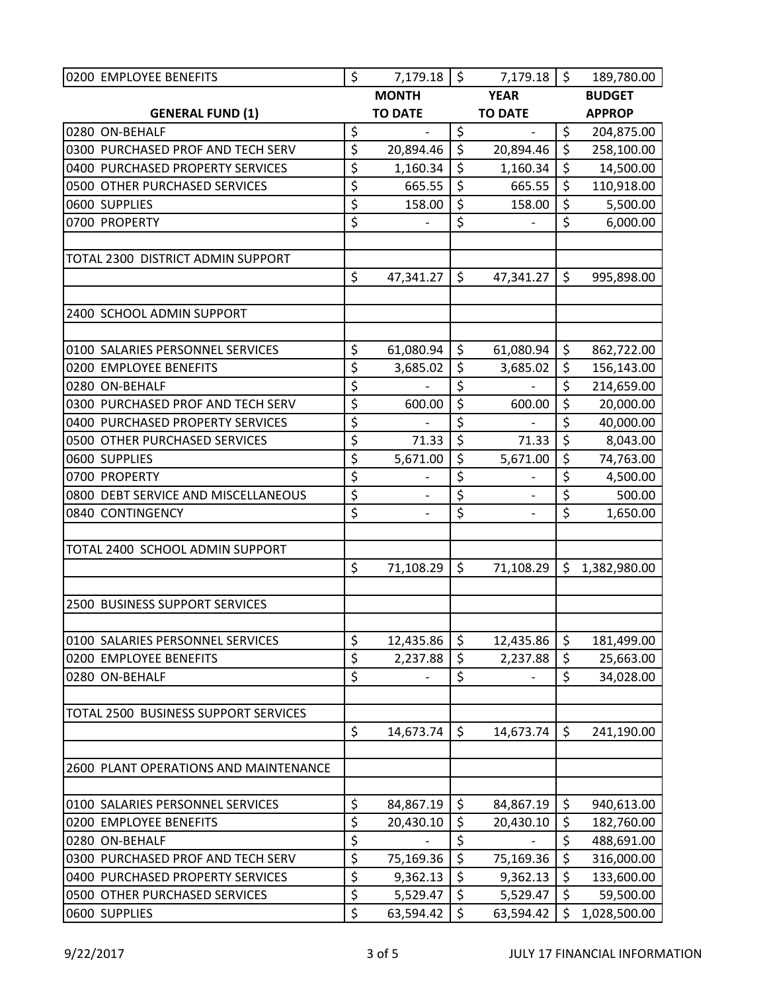| 0200 EMPLOYEE BENEFITS                | \$               | 7,179.18                 | \$               | $7,179.18$ \$                |                  | 189,780.00    |
|---------------------------------------|------------------|--------------------------|------------------|------------------------------|------------------|---------------|
|                                       |                  | <b>MONTH</b>             |                  | <b>YEAR</b>                  |                  | <b>BUDGET</b> |
| <b>GENERAL FUND (1)</b>               |                  | <b>TO DATE</b>           |                  | <b>TO DATE</b>               |                  | <b>APPROP</b> |
| 0280 ON-BEHALF                        | \$               | $\frac{1}{2}$            | \$               | $\overline{\phantom{m}}$     | \$               | 204,875.00    |
| 0300 PURCHASED PROF AND TECH SERV     | \$               | 20,894.46                | $\overline{\xi}$ | 20,894.46                    | $\zeta$          | 258,100.00    |
| 0400 PURCHASED PROPERTY SERVICES      | \$               | 1,160.34                 | \$               | 1,160.34                     | \$               | 14,500.00     |
| 0500 OTHER PURCHASED SERVICES         | \$               | 665.55                   | \$               | 665.55                       | \$               | 110,918.00    |
| 0600 SUPPLIES                         | \$               | 158.00                   | \$               | 158.00                       | \$               | 5,500.00      |
| 0700 PROPERTY                         | \$               |                          | \$               |                              | \$               | 6,000.00      |
|                                       |                  |                          |                  |                              |                  |               |
| TOTAL 2300 DISTRICT ADMIN SUPPORT     |                  |                          |                  |                              |                  |               |
|                                       | \$               | 47,341.27                | \$               | 47,341.27                    | \$               | 995,898.00    |
| 2400 SCHOOL ADMIN SUPPORT             |                  |                          |                  |                              |                  |               |
|                                       |                  |                          |                  |                              |                  |               |
| 0100 SALARIES PERSONNEL SERVICES      | \$               | 61,080.94                | \$               | 61,080.94                    | \$               | 862,722.00    |
| 0200 EMPLOYEE BENEFITS                | \$               | 3,685.02                 | \$               | 3,685.02                     | \$               | 156,143.00    |
| 0280 ON-BEHALF                        | \$               |                          | \$               |                              | \$               | 214,659.00    |
| 0300 PURCHASED PROF AND TECH SERV     | \$               | 600.00                   | \$               | 600.00                       | $\overline{\xi}$ | 20,000.00     |
| 0400 PURCHASED PROPERTY SERVICES      | \$               |                          | \$               |                              | \$               | 40,000.00     |
| 0500 OTHER PURCHASED SERVICES         | \$               | 71.33                    | \$               | 71.33                        | \$               | 8,043.00      |
| 0600 SUPPLIES                         | $\overline{\xi}$ | 5,671.00                 | \$               | 5,671.00                     | \$               | 74,763.00     |
| 0700 PROPERTY                         | \$               |                          | \$               |                              | \$               | 4,500.00      |
| 0800 DEBT SERVICE AND MISCELLANEOUS   | $\overline{\xi}$ |                          | \$               |                              | \$               | 500.00        |
| 0840 CONTINGENCY                      | \$               | $\overline{\phantom{m}}$ | \$               | $\qquad \qquad \blacksquare$ | \$               | 1,650.00      |
|                                       |                  |                          |                  |                              |                  |               |
| TOTAL 2400 SCHOOL ADMIN SUPPORT       |                  |                          |                  |                              |                  |               |
|                                       | \$               | 71,108.29                | \$               | 71,108.29                    | \$               | 1,382,980.00  |
| 2500 BUSINESS SUPPORT SERVICES        |                  |                          |                  |                              |                  |               |
|                                       |                  |                          |                  |                              |                  |               |
| 0100 SALARIES PERSONNEL SERVICES      | \$               | 12,435.86                | \$               | 12,435.86                    | \$               | 181,499.00    |
| 0200 EMPLOYEE BENEFITS                | \$               | 2,237.88                 | \$               | 2,237.88                     | \$               | 25,663.00     |
| 0280 ON-BEHALF                        | \$               |                          | \$               |                              | \$               | 34,028.00     |
|                                       |                  |                          |                  |                              |                  |               |
| TOTAL 2500 BUSINESS SUPPORT SERVICES  |                  |                          |                  |                              |                  |               |
|                                       | \$               | 14,673.74                | \$               | 14,673.74                    | \$               | 241,190.00    |
| 2600 PLANT OPERATIONS AND MAINTENANCE |                  |                          |                  |                              |                  |               |
|                                       |                  |                          |                  |                              |                  |               |
| 0100 SALARIES PERSONNEL SERVICES      | \$               | 84,867.19                | \$               | 84,867.19                    | \$               | 940,613.00    |
| 0200 EMPLOYEE BENEFITS                | \$               | 20,430.10                | \$               | 20,430.10                    | \$               | 182,760.00    |
| 0280 ON-BEHALF                        | \$               |                          | \$               |                              | \$               | 488,691.00    |
| 0300 PURCHASED PROF AND TECH SERV     | \$               | 75,169.36                | \$               | 75,169.36                    | \$               | 316,000.00    |
| 0400 PURCHASED PROPERTY SERVICES      | \$               | 9,362.13                 | \$               | 9,362.13                     | \$               | 133,600.00    |
| 0500 OTHER PURCHASED SERVICES         | \$               | 5,529.47                 | \$               | 5,529.47                     | \$               | 59,500.00     |
| 0600 SUPPLIES                         | $\overline{\xi}$ | 63,594.42                | \$               | 63,594.42                    | \$               | 1,028,500.00  |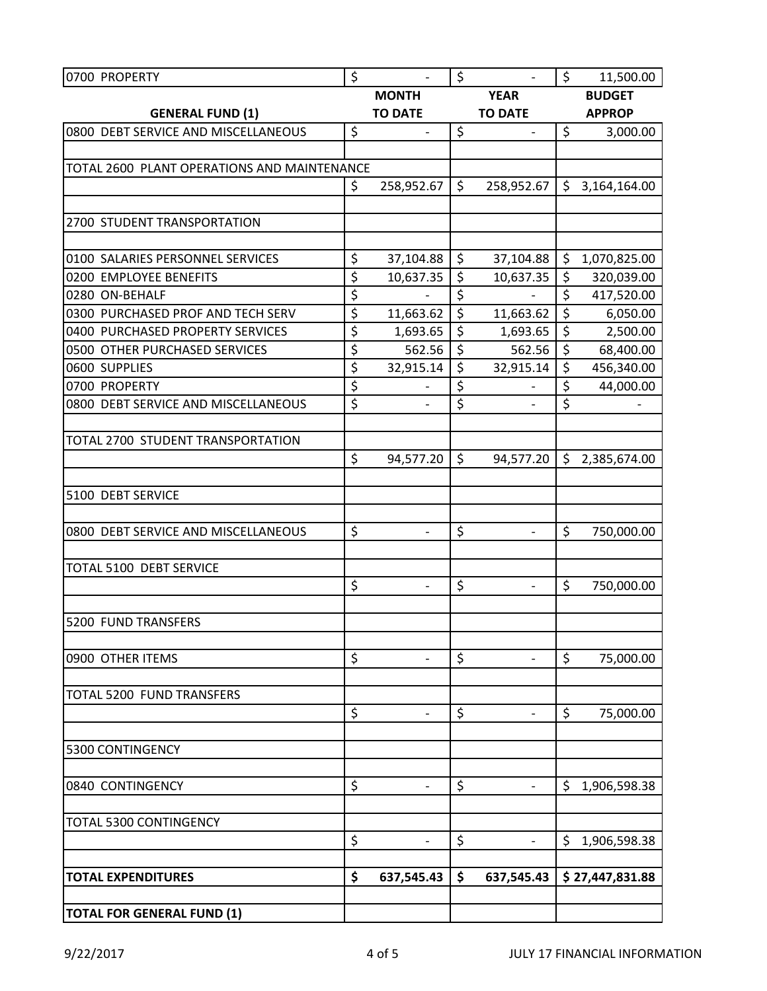| 0700 PROPERTY                                        | \$           | $\overline{\phantom{a}}$ | \$               | $\qquad \qquad \blacksquare$ | $\zeta$       | 11,500.00       |  |
|------------------------------------------------------|--------------|--------------------------|------------------|------------------------------|---------------|-----------------|--|
|                                                      | <b>MONTH</b> |                          | <b>YEAR</b>      |                              | <b>BUDGET</b> |                 |  |
| <b>GENERAL FUND (1)</b>                              |              | <b>TO DATE</b>           |                  | <b>TO DATE</b>               |               | <b>APPROP</b>   |  |
| 0800 DEBT SERVICE AND MISCELLANEOUS                  | \$           |                          | \$               | $\qquad \qquad -$            | $\zeta$       | 3,000.00        |  |
|                                                      |              |                          |                  |                              |               |                 |  |
| TOTAL 2600 PLANT OPERATIONS AND MAINTENANCE          |              |                          |                  |                              |               |                 |  |
|                                                      | \$           | 258,952.67               | \$               | 258,952.67                   | \$            | 3,164,164.00    |  |
|                                                      |              |                          |                  |                              |               |                 |  |
| 2700 STUDENT TRANSPORTATION                          |              |                          |                  |                              |               |                 |  |
|                                                      |              |                          |                  |                              |               |                 |  |
| 0100 SALARIES PERSONNEL SERVICES                     | \$           | 37,104.88                | \$               | 37,104.88                    | \$            | 1,070,825.00    |  |
| 0200 EMPLOYEE BENEFITS                               | \$           | 10,637.35                | $\overline{\xi}$ | 10,637.35                    | $\zeta$       | 320,039.00      |  |
| 0280 ON-BEHALF                                       | \$           | $\overline{\phantom{0}}$ | \$               | $\overline{a}$               | \$            | 417,520.00      |  |
| 0300 PURCHASED PROF AND TECH SERV                    | \$           | 11,663.62                | \$               | 11,663.62                    | \$            | 6,050.00        |  |
| 0400 PURCHASED PROPERTY SERVICES                     | \$           | 1,693.65                 | \$               | 1,693.65                     | \$            | 2,500.00        |  |
| 0500 OTHER PURCHASED SERVICES                        | \$           | 562.56                   | \$               | 562.56                       | \$            | 68,400.00       |  |
| 0600 SUPPLIES                                        | \$           | 32,915.14                | \$               | 32,915.14                    | \$            | 456,340.00      |  |
| 0700 PROPERTY<br>0800 DEBT SERVICE AND MISCELLANEOUS | \$           | $\overline{\phantom{0}}$ | \$<br>\$         |                              | \$<br>\$      | 44,000.00       |  |
|                                                      | \$           |                          |                  |                              |               |                 |  |
| TOTAL 2700 STUDENT TRANSPORTATION                    |              |                          |                  |                              |               |                 |  |
|                                                      | \$           | 94,577.20                | \$               | 94,577.20                    | \$            | 2,385,674.00    |  |
|                                                      |              |                          |                  |                              |               |                 |  |
| 5100 DEBT SERVICE                                    |              |                          |                  |                              |               |                 |  |
|                                                      |              |                          |                  |                              |               |                 |  |
| 0800 DEBT SERVICE AND MISCELLANEOUS                  | \$           |                          | \$               |                              | \$            | 750,000.00      |  |
|                                                      |              |                          |                  |                              |               |                 |  |
| TOTAL 5100 DEBT SERVICE                              |              |                          |                  |                              |               |                 |  |
|                                                      | \$           |                          | \$               |                              | \$            | 750,000.00      |  |
|                                                      |              |                          |                  |                              |               |                 |  |
| 5200 FUND TRANSFERS                                  |              |                          |                  |                              |               |                 |  |
|                                                      |              |                          |                  |                              |               |                 |  |
| 0900 OTHER ITEMS                                     | \$           |                          | \$               |                              | \$            | 75,000.00       |  |
|                                                      |              |                          |                  |                              |               |                 |  |
| TOTAL 5200 FUND TRANSFERS                            |              |                          |                  |                              |               |                 |  |
|                                                      | \$           |                          | \$               |                              | \$            | 75,000.00       |  |
|                                                      |              |                          |                  |                              |               |                 |  |
| 5300 CONTINGENCY                                     |              |                          |                  |                              |               |                 |  |
|                                                      |              |                          |                  |                              |               |                 |  |
| 0840 CONTINGENCY                                     | \$           |                          | \$               | $\overline{\phantom{a}}$     | \$            | 1,906,598.38    |  |
|                                                      |              |                          |                  |                              |               |                 |  |
| TOTAL 5300 CONTINGENCY                               |              |                          |                  |                              |               |                 |  |
|                                                      | \$           | $\overline{\phantom{0}}$ | \$               | $\qquad \qquad \blacksquare$ | \$            | 1,906,598.38    |  |
|                                                      |              |                          |                  |                              |               |                 |  |
| <b>TOTAL EXPENDITURES</b>                            | \$           | 637,545.43               | \$               | 637,545.43                   |               | \$27,447,831.88 |  |
|                                                      |              |                          |                  |                              |               |                 |  |
| <b>TOTAL FOR GENERAL FUND (1)</b>                    |              |                          |                  |                              |               |                 |  |